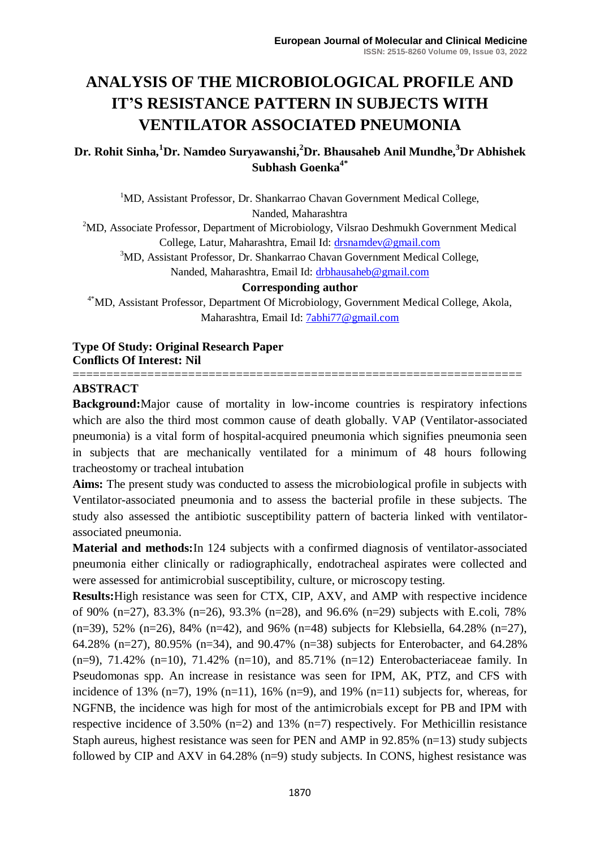# **ANALYSIS OF THE MICROBIOLOGICAL PROFILE AND IT'S RESISTANCE PATTERN IN SUBJECTS WITH VENTILATOR ASSOCIATED PNEUMONIA**

# **Dr. Rohit Sinha,<sup>1</sup>Dr. Namdeo Suryawanshi, <sup>2</sup>Dr. Bhausaheb Anil Mundhe, <sup>3</sup>Dr Abhishek Subhash Goenka4\***

<sup>1</sup>MD, Assistant Professor, Dr. Shankarrao Chavan Government Medical College, Nanded, Maharashtra

<sup>2</sup>MD, Associate Professor, Department of Microbiology, Vilsrao Deshmukh Government Medical College, Latur, Maharashtra, Email Id: [drsnamdev@gmail.com](mailto:drsnamdev@gmail.com)

<sup>3</sup>MD, Assistant Professor, Dr. Shankarrao Chavan Government Medical College,

Nanded, Maharashtra, Email Id: [drbhausaheb@gmail.com](mailto:drbhausaheb@gmail.com)

#### **Corresponding author**

4\*MD, Assistant Professor, Department Of Microbiology, Government Medical College, Akola, Maharashtra, Email Id: [7abhi77@gmail.com](mailto:7abhi77@gmail.com)

#### **Type Of Study: Original Research Paper Conflicts Of Interest: Nil** ==================================================================

## **ABSTRACT**

**Background:**Major cause of mortality in low-income countries is respiratory infections which are also the third most common cause of death globally. VAP (Ventilator-associated pneumonia) is a vital form of hospital-acquired pneumonia which signifies pneumonia seen in subjects that are mechanically ventilated for a minimum of 48 hours following tracheostomy or tracheal intubation

**Aims:** The present study was conducted to assess the microbiological profile in subjects with Ventilator-associated pneumonia and to assess the bacterial profile in these subjects. The study also assessed the antibiotic susceptibility pattern of bacteria linked with ventilatorassociated pneumonia.

**Material and methods:**In 124 subjects with a confirmed diagnosis of ventilator-associated pneumonia either clinically or radiographically, endotracheal aspirates were collected and were assessed for antimicrobial susceptibility, culture, or microscopy testing.

**Results:**High resistance was seen for CTX, CIP, AXV, and AMP with respective incidence of 90% (n=27), 83.3% (n=26), 93.3% (n=28), and 96.6% (n=29) subjects with E.coli, 78% (n=39), 52% (n=26), 84% (n=42), and 96% (n=48) subjects for Klebsiella, 64.28% (n=27), 64.28% (n=27), 80.95% (n=34), and 90.47% (n=38) subjects for Enterobacter, and 64.28%  $(n=9)$ , 71.42%  $(n=10)$ , 71.42%  $(n=10)$ , and 85.71%  $(n=12)$  Enterobacteriaceae family. In Pseudomonas spp. An increase in resistance was seen for IPM, AK, PTZ, and CFS with incidence of 13% (n=7), 19% (n=11), 16% (n=9), and 19% (n=11) subjects for, whereas, for NGFNB, the incidence was high for most of the antimicrobials except for PB and IPM with respective incidence of 3.50% (n=2) and 13% (n=7) respectively. For Methicillin resistance Staph aureus, highest resistance was seen for PEN and AMP in 92.85% (n=13) study subjects followed by CIP and AXV in 64.28% (n=9) study subjects. In CONS, highest resistance was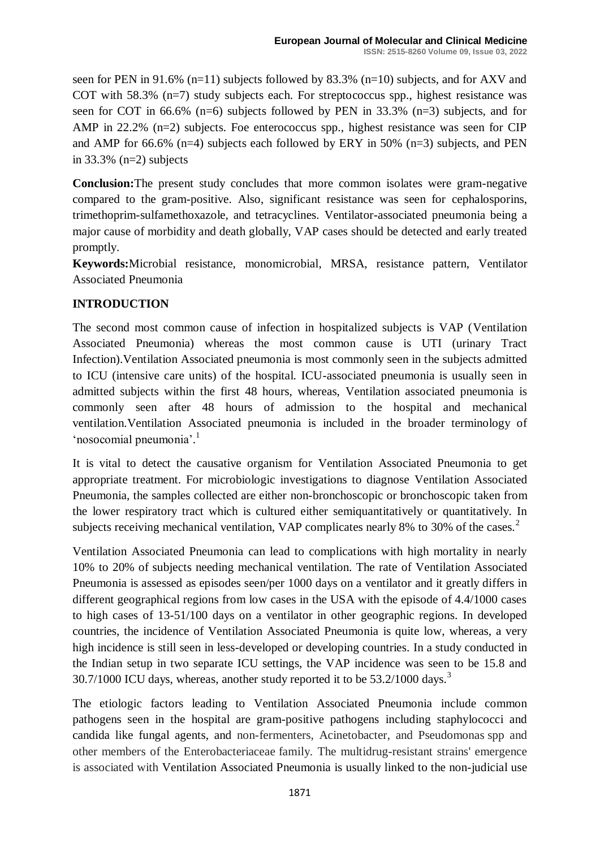seen for PEN in 91.6% (n=11) subjects followed by 83.3% (n=10) subjects, and for AXV and COT with 58.3% (n=7) study subjects each. For streptococcus spp., highest resistance was seen for COT in 66.6% (n=6) subjects followed by PEN in 33.3% (n=3) subjects, and for AMP in 22.2% (n=2) subjects. Foe enterococcus spp., highest resistance was seen for CIP and AMP for 66.6% (n=4) subjects each followed by ERY in 50% (n=3) subjects, and PEN in 33.3% (n=2) subjects

**Conclusion:**The present study concludes that more common isolates were gram-negative compared to the gram-positive. Also, significant resistance was seen for cephalosporins, trimethoprim-sulfamethoxazole, and tetracyclines. Ventilator-associated pneumonia being a major cause of morbidity and death globally, VAP cases should be detected and early treated promptly.

**Keywords:**Microbial resistance, monomicrobial, MRSA, resistance pattern, Ventilator Associated Pneumonia

## **INTRODUCTION**

The second most common cause of infection in hospitalized subjects is VAP (Ventilation Associated Pneumonia) whereas the most common cause is UTI (urinary Tract Infection).Ventilation Associated pneumonia is most commonly seen in the subjects admitted to ICU (intensive care units) of the hospital. ICU-associated pneumonia is usually seen in admitted subjects within the first 48 hours, whereas, Ventilation associated pneumonia is commonly seen after 48 hours of admission to the hospital and mechanical ventilation.Ventilation Associated pneumonia is included in the broader terminology of 'nosocomial pneumonia'.<sup>1</sup>

It is vital to detect the causative organism for Ventilation Associated Pneumonia to get appropriate treatment. For microbiologic investigations to diagnose Ventilation Associated Pneumonia, the samples collected are either non-bronchoscopic or bronchoscopic taken from the lower respiratory tract which is cultured either semiquantitatively or quantitatively. In subjects receiving mechanical ventilation, VAP complicates nearly 8% to 30% of the cases.<sup>2</sup>

Ventilation Associated Pneumonia can lead to complications with high mortality in nearly 10% to 20% of subjects needing mechanical ventilation. The rate of Ventilation Associated Pneumonia is assessed as episodes seen/per 1000 days on a ventilator and it greatly differs in different geographical regions from low cases in the USA with the episode of 4.4/1000 cases to high cases of 13-51/100 days on a ventilator in other geographic regions. In developed countries, the incidence of Ventilation Associated Pneumonia is quite low, whereas, a very high incidence is still seen in less-developed or developing countries. In a study conducted in the Indian setup in two separate ICU settings, the VAP incidence was seen to be 15.8 and  $30.7/1000$  ICU days, whereas, another study reported it to be  $53.2/1000$  days.<sup>3</sup>

The etiologic factors leading to Ventilation Associated Pneumonia include common pathogens seen in the hospital are gram-positive pathogens including staphylococci and candida like fungal agents, and non-fermenters, Acinetobacter, and Pseudomonas spp and other members of the Enterobacteriaceae family. The multidrug-resistant strains' emergence is associated with Ventilation Associated Pneumonia is usually linked to the non-judicial use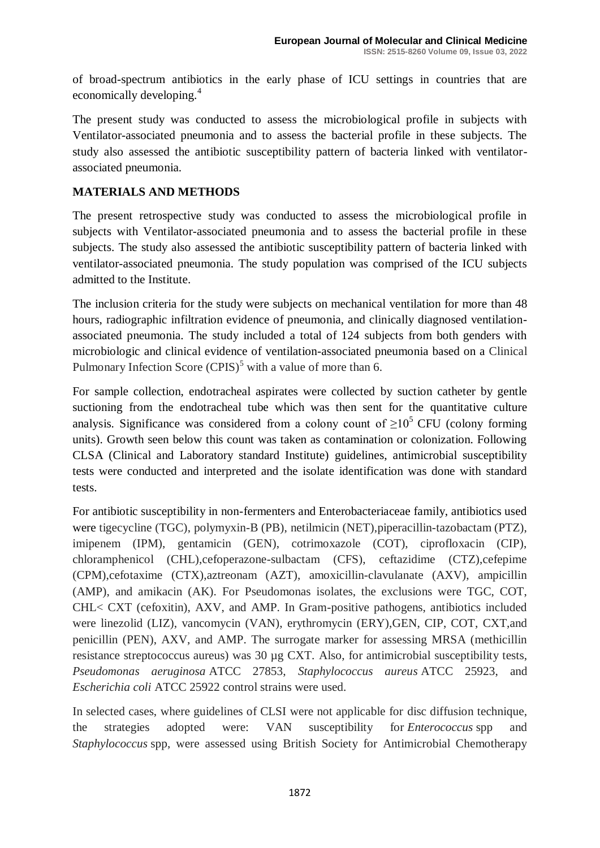of broad-spectrum antibiotics in the early phase of ICU settings in countries that are economically developing.<sup>4</sup>

The present study was conducted to assess the microbiological profile in subjects with Ventilator-associated pneumonia and to assess the bacterial profile in these subjects. The study also assessed the antibiotic susceptibility pattern of bacteria linked with ventilatorassociated pneumonia.

## **MATERIALS AND METHODS**

The present retrospective study was conducted to assess the microbiological profile in subjects with Ventilator-associated pneumonia and to assess the bacterial profile in these subjects. The study also assessed the antibiotic susceptibility pattern of bacteria linked with ventilator-associated pneumonia. The study population was comprised of the ICU subjects admitted to the Institute.

The inclusion criteria for the study were subjects on mechanical ventilation for more than 48 hours, radiographic infiltration evidence of pneumonia, and clinically diagnosed ventilationassociated pneumonia. The study included a total of 124 subjects from both genders with microbiologic and clinical evidence of ventilation-associated pneumonia based on a Clinical Pulmonary Infection Score  $(CPIS)^5$  with a value of more than 6.

For sample collection, endotracheal aspirates were collected by suction catheter by gentle suctioning from the endotracheal tube which was then sent for the quantitative culture analysis. Significance was considered from a colony count of  $\geq 10^5$  CFU (colony forming units). Growth seen below this count was taken as contamination or colonization. Following CLSA (Clinical and Laboratory standard Institute) guidelines, antimicrobial susceptibility tests were conducted and interpreted and the isolate identification was done with standard tests.

For antibiotic susceptibility in non-fermenters and Enterobacteriaceae family, antibiotics used were tigecycline (TGC), polymyxin-B (PB), netilmicin (NET),piperacillin-tazobactam (PTZ), imipenem (IPM), gentamicin (GEN), cotrimoxazole (COT), ciprofloxacin (CIP), chloramphenicol (CHL),cefoperazone-sulbactam (CFS), ceftazidime (CTZ),cefepime (CPM),cefotaxime (CTX),aztreonam (AZT), amoxicillin-clavulanate (AXV), ampicillin (AMP), and amikacin (AK). For Pseudomonas isolates, the exclusions were TGC, COT, CHL< CXT (cefoxitin), AXV, and AMP. In Gram-positive pathogens, antibiotics included were linezolid (LIZ), vancomycin (VAN), erythromycin (ERY),GEN, CIP, COT, CXT,and penicillin (PEN), AXV, and AMP. The surrogate marker for assessing MRSA (methicillin resistance streptococcus aureus) was 30 µg CXT. Also, for antimicrobial susceptibility tests, *Pseudomonas aeruginosa* ATCC 27853, *Staphylococcus aureus* ATCC 25923, and *Escherichia coli* ATCC 25922 control strains were used.

In selected cases, where guidelines of CLSI were not applicable for disc diffusion technique, the strategies adopted were: VAN susceptibility for *Enterococcus* spp and *Staphylococcus* spp, were assessed using British Society for Antimicrobial Chemotherapy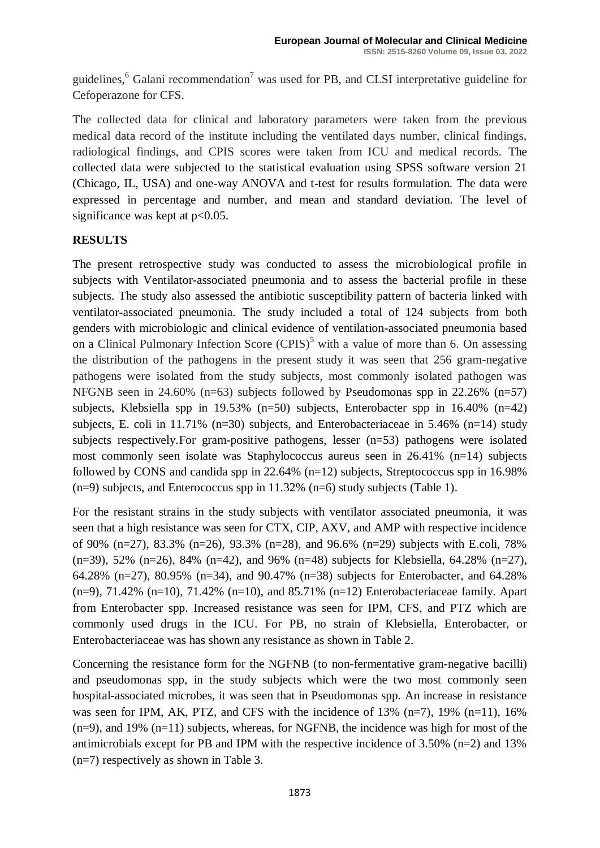guidelines,  $6$  Galani recommendation<sup>7</sup> was used for PB, and CLSI interpretative guideline for Cefoperazone for CFS.

The collected data for clinical and laboratory parameters were taken from the previous medical data record of the institute including the ventilated days number, clinical findings, radiological findings, and CPIS scores were taken from ICU and medical records. The collected data were subjected to the statistical evaluation using SPSS software version 21 (Chicago, IL, USA) and one-way ANOVA and t-test for results formulation. The data were expressed in percentage and number, and mean and standard deviation. The level of significance was kept at  $p<0.05$ .

## **RESULTS**

The present retrospective study was conducted to assess the microbiological profile in subjects with Ventilator-associated pneumonia and to assess the bacterial profile in these subjects. The study also assessed the antibiotic susceptibility pattern of bacteria linked with ventilator-associated pneumonia. The study included a total of 124 subjects from both genders with microbiologic and clinical evidence of ventilation-associated pneumonia based on a Clinical Pulmonary Infection Score  $(CPIS)^5$  with a value of more than 6. On assessing the distribution of the pathogens in the present study it was seen that 256 gram-negative pathogens were isolated from the study subjects, most commonly isolated pathogen was NFGNB seen in 24.60% (n=63) subjects followed by Pseudomonas spp in 22.26% (n=57) subjects, Klebsiella spp in 19.53% (n=50) subjects, Enterobacter spp in  $16.40\%$  (n=42) subjects, E. coli in 11.71% ( $n=30$ ) subjects, and Enterobacteriaceae in 5.46% ( $n=14$ ) study subjects respectively.For gram-positive pathogens, lesser (n=53) pathogens were isolated most commonly seen isolate was Staphylococcus aureus seen in 26.41% (n=14) subjects followed by CONS and candida spp in 22.64% (n=12) subjects, Streptococcus spp in 16.98%  $(n=9)$  subjects, and Enterococcus spp in 11.32%  $(n=6)$  study subjects (Table 1).

For the resistant strains in the study subjects with ventilator associated pneumonia, it was seen that a high resistance was seen for CTX, CIP, AXV, and AMP with respective incidence of 90% (n=27), 83.3% (n=26), 93.3% (n=28), and 96.6% (n=29) subjects with E.coli, 78% (n=39), 52% (n=26), 84% (n=42), and 96% (n=48) subjects for Klebsiella, 64.28% (n=27), 64.28% (n=27), 80.95% (n=34), and 90.47% (n=38) subjects for Enterobacter, and 64.28%  $(n=9)$ , 71.42%  $(n=10)$ , 71.42%  $(n=10)$ , and 85.71%  $(n=12)$  Enterobacteriaceae family. Apart from Enterobacter spp. Increased resistance was seen for IPM, CFS, and PTZ which are commonly used drugs in the ICU. For PB, no strain of Klebsiella, Enterobacter, or Enterobacteriaceae was has shown any resistance as shown in Table 2.

Concerning the resistance form for the NGFNB (to non-fermentative gram-negative bacilli) and pseudomonas spp, in the study subjects which were the two most commonly seen hospital-associated microbes, it was seen that in Pseudomonas spp. An increase in resistance was seen for IPM, AK, PTZ, and CFS with the incidence of  $13\%$  (n=7),  $19\%$  (n=11),  $16\%$  $(n=9)$ , and 19%  $(n=11)$  subjects, whereas, for NGFNB, the incidence was high for most of the antimicrobials except for PB and IPM with the respective incidence of 3.50% (n=2) and 13% (n=7) respectively as shown in Table 3.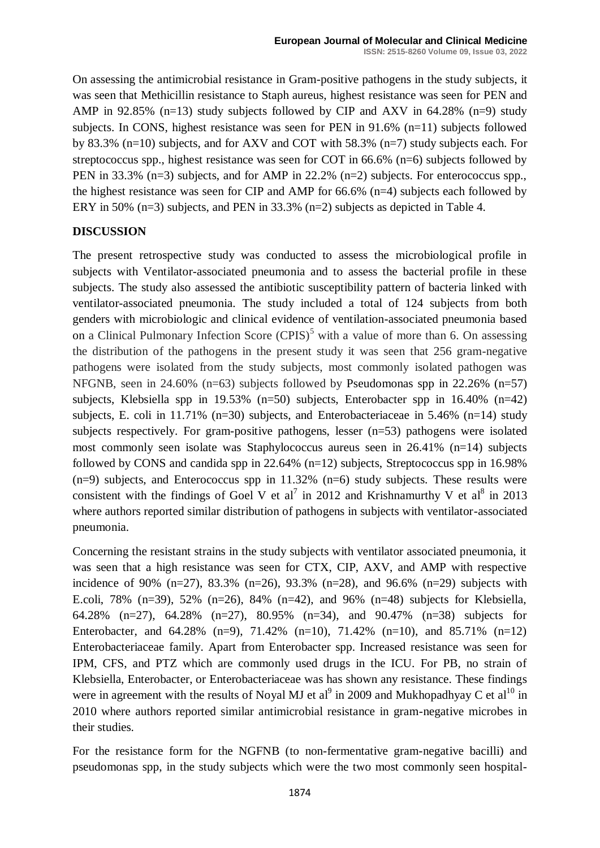On assessing the antimicrobial resistance in Gram-positive pathogens in the study subjects, it was seen that Methicillin resistance to Staph aureus, highest resistance was seen for PEN and AMP in 92.85% (n=13) study subjects followed by CIP and AXV in 64.28% (n=9) study subjects. In CONS, highest resistance was seen for PEN in 91.6% (n=11) subjects followed by 83.3% (n=10) subjects, and for AXV and COT with 58.3% (n=7) study subjects each. For streptococcus spp., highest resistance was seen for COT in 66.6% (n=6) subjects followed by PEN in 33.3% (n=3) subjects, and for AMP in 22.2% (n=2) subjects. For enterococcus spp., the highest resistance was seen for CIP and AMP for 66.6% (n=4) subjects each followed by ERY in 50% (n=3) subjects, and PEN in 33.3% (n=2) subjects as depicted in Table 4.

#### **DISCUSSION**

The present retrospective study was conducted to assess the microbiological profile in subjects with Ventilator-associated pneumonia and to assess the bacterial profile in these subjects. The study also assessed the antibiotic susceptibility pattern of bacteria linked with ventilator-associated pneumonia. The study included a total of 124 subjects from both genders with microbiologic and clinical evidence of ventilation-associated pneumonia based on a Clinical Pulmonary Infection Score  $(CPIS)^5$  with a value of more than 6. On assessing the distribution of the pathogens in the present study it was seen that 256 gram-negative pathogens were isolated from the study subjects, most commonly isolated pathogen was NFGNB, seen in 24.60% (n=63) subjects followed by Pseudomonas spp in 22.26% (n=57) subjects, Klebsiella spp in 19.53% (n=50) subjects, Enterobacter spp in  $16.40\%$  (n=42) subjects, E. coli in 11.71% ( $n=30$ ) subjects, and Enterobacteriaceae in 5.46% ( $n=14$ ) study subjects respectively. For gram-positive pathogens, lesser (n=53) pathogens were isolated most commonly seen isolate was Staphylococcus aureus seen in 26.41% (n=14) subjects followed by CONS and candida spp in  $22.64\%$  (n=12) subjects, Streptococcus spp in 16.98%  $(n=9)$  subjects, and Enterococcus spp in 11.32%  $(n=6)$  study subjects. These results were consistent with the findings of Goel V et al<sup>7</sup> in 2012 and Krishnamurthy V et al<sup>8</sup> in 2013 where authors reported similar distribution of pathogens in subjects with ventilator-associated pneumonia.

Concerning the resistant strains in the study subjects with ventilator associated pneumonia, it was seen that a high resistance was seen for CTX, CIP, AXV, and AMP with respective incidence of 90%  $(n=27)$ , 83.3%  $(n=26)$ , 93.3%  $(n=28)$ , and 96.6%  $(n=29)$  subjects with E.coli, 78% (n=39), 52% (n=26), 84% (n=42), and 96% (n=48) subjects for Klebsiella, 64.28% (n=27), 64.28% (n=27), 80.95% (n=34), and 90.47% (n=38) subjects for Enterobacter, and 64.28% (n=9), 71.42% (n=10), 71.42% (n=10), and 85.71% (n=12) Enterobacteriaceae family. Apart from Enterobacter spp. Increased resistance was seen for IPM, CFS, and PTZ which are commonly used drugs in the ICU. For PB, no strain of Klebsiella, Enterobacter, or Enterobacteriaceae was has shown any resistance. These findings were in agreement with the results of Noyal MJ et al<sup>9</sup> in 2009 and Mukhopadhyay C et al<sup>10</sup> in 2010 where authors reported similar antimicrobial resistance in gram-negative microbes in their studies.

For the resistance form for the NGFNB (to non-fermentative gram-negative bacilli) and pseudomonas spp, in the study subjects which were the two most commonly seen hospital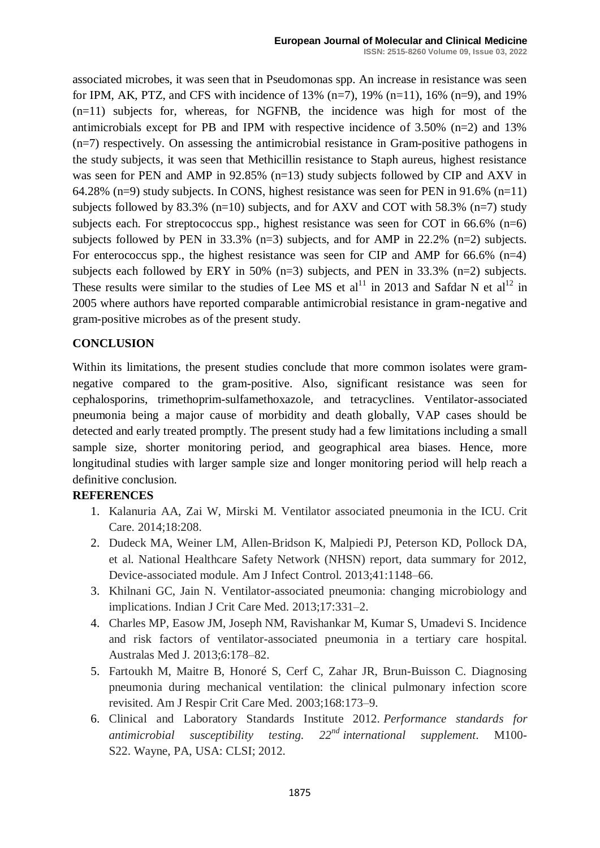associated microbes, it was seen that in Pseudomonas spp. An increase in resistance was seen for IPM, AK, PTZ, and CFS with incidence of  $13\%$  (n=7),  $19\%$  (n=11),  $16\%$  (n=9), and  $19\%$ (n=11) subjects for, whereas, for NGFNB, the incidence was high for most of the antimicrobials except for PB and IPM with respective incidence of 3.50% (n=2) and 13% (n=7) respectively. On assessing the antimicrobial resistance in Gram-positive pathogens in the study subjects, it was seen that Methicillin resistance to Staph aureus, highest resistance was seen for PEN and AMP in 92.85% (n=13) study subjects followed by CIP and AXV in 64.28% (n=9) study subjects. In CONS, highest resistance was seen for PEN in 91.6% (n=11) subjects followed by 83.3% ( $n=10$ ) subjects, and for AXV and COT with 58.3% ( $n=7$ ) study subjects each. For streptococcus spp., highest resistance was seen for COT in 66.6% (n=6) subjects followed by PEN in  $33.3\%$  (n=3) subjects, and for AMP in  $22.2\%$  (n=2) subjects. For enterococcus spp., the highest resistance was seen for CIP and AMP for  $66.6\%$  (n=4) subjects each followed by ERY in 50%  $(n=3)$  subjects, and PEN in 33.3%  $(n=2)$  subjects. These results were similar to the studies of Lee MS et al<sup>11</sup> in 2013 and Safdar N et al<sup>12</sup> in 2005 where authors have reported comparable antimicrobial resistance in gram-negative and gram-positive microbes as of the present study.

#### **CONCLUSION**

Within its limitations, the present studies conclude that more common isolates were gramnegative compared to the gram-positive. Also, significant resistance was seen for cephalosporins, trimethoprim-sulfamethoxazole, and tetracyclines. Ventilator-associated pneumonia being a major cause of morbidity and death globally, VAP cases should be detected and early treated promptly. The present study had a few limitations including a small sample size, shorter monitoring period, and geographical area biases. Hence, more longitudinal studies with larger sample size and longer monitoring period will help reach a definitive conclusion.

#### **REFERENCES**

- 1. Kalanuria AA, Zai W, Mirski M. Ventilator associated pneumonia in the ICU. Crit Care. 2014;18:208.
- 2. Dudeck MA, Weiner LM, Allen-Bridson K, Malpiedi PJ, Peterson KD, Pollock DA, et al. National Healthcare Safety Network (NHSN) report, data summary for 2012, Device-associated module. Am J Infect Control. 2013;41:1148–66.
- 3. Khilnani GC, Jain N. Ventilator-associated pneumonia: changing microbiology and implications. Indian J Crit Care Med. 2013;17:331–2.
- 4. Charles MP, Easow JM, Joseph NM, Ravishankar M, Kumar S, Umadevi S. Incidence and risk factors of ventilator-associated pneumonia in a tertiary care hospital. Australas Med J. 2013;6:178–82.
- 5. Fartoukh M, Maitre B, Honoré S, Cerf C, Zahar JR, Brun-Buisson C. Diagnosing pneumonia during mechanical ventilation: the clinical pulmonary infection score revisited. Am J Respir Crit Care Med. 2003;168:173–9.
- 6. Clinical and Laboratory Standards Institute 2012. *Performance standards for antimicrobial susceptibility testing. 22nd international supplement*. M100- S22. Wayne, PA, USA: CLSI; 2012.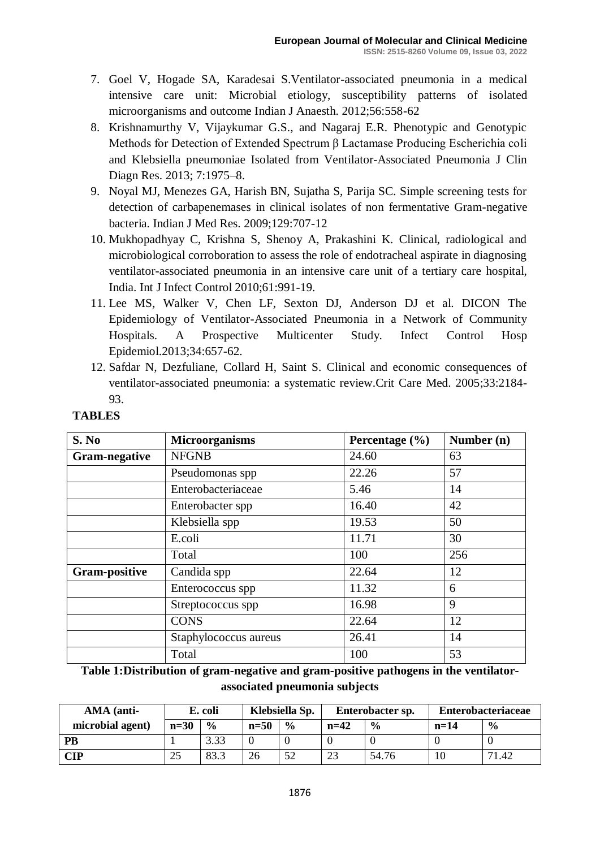- 7. Goel V, Hogade SA, Karadesai S.Ventilator-associated pneumonia in a medical intensive care unit: Microbial etiology, susceptibility patterns of isolated microorganisms and outcome Indian J Anaesth. 2012;56:558-62
- 8. Krishnamurthy V, Vijaykumar G.S., and Nagaraj E.R. Phenotypic and Genotypic Methods for Detection of Extended Spectrum β Lactamase Producing Escherichia coli and Klebsiella pneumoniae Isolated from Ventilator-Associated Pneumonia J Clin Diagn Res. 2013; 7:1975–8.
- 9. Noyal MJ, Menezes GA, Harish BN, Sujatha S, Parija SC. Simple screening tests for detection of carbapenemases in clinical isolates of non fermentative Gram-negative bacteria. Indian J Med Res. 2009;129:707-12
- 10. Mukhopadhyay C, Krishna S, Shenoy A, Prakashini K. Clinical, radiological and microbiological corroboration to assess the role of endotracheal aspirate in diagnosing ventilator-associated pneumonia in an intensive care unit of a tertiary care hospital, India. Int J Infect Control 2010;61:991-19.
- 11. Lee MS, Walker V, Chen LF, Sexton DJ, Anderson DJ et al. DICON The Epidemiology of Ventilator-Associated Pneumonia in a Network of Community Hospitals. A Prospective Multicenter Study. Infect Control Hosp Epidemiol.2013;34:657-62.
- 12. Safdar N, Dezfuliane, Collard H, Saint S. Clinical and economic consequences of ventilator-associated pneumonia: a systematic review.Crit Care Med. 2005;33:2184- 93.

| S. No                | <b>Microorganisms</b> | Percentage $(\% )$ | Number (n)     |  |
|----------------------|-----------------------|--------------------|----------------|--|
| <b>Gram-negative</b> | <b>NFGNB</b>          | 24.60              | 63             |  |
|                      | Pseudomonas spp       | 22.26              | 57             |  |
|                      | Enterobacteriaceae    | 5.46               | 14             |  |
|                      | Enterobacter spp      | 16.40              | 42<br>50<br>30 |  |
|                      | Klebsiella spp        | 19.53              |                |  |
|                      | E.coli                | 11.71              |                |  |
|                      | Total                 | 100                | 256            |  |
| <b>Gram-positive</b> | Candida spp           | 22.64              | 12             |  |
|                      | Enterococcus spp      | 11.32              | 6              |  |
|                      | Streptococcus spp     | 16.98              | 9              |  |
|                      | <b>CONS</b>           | 22.64              | 12             |  |
|                      | Staphylococcus aureus | 26.41              | 14             |  |
|                      | Total                 | 100                | 53             |  |

# **TABLES**

**Table 1:Distribution of gram-negative and gram-positive pathogens in the ventilatorassociated pneumonia subjects**

| AMA (anti-       | E. coli |               | Klebsiella Sp. |               | Enterobacter sp. |               | <b>Enterobacteriaceae</b> |               |
|------------------|---------|---------------|----------------|---------------|------------------|---------------|---------------------------|---------------|
| microbial agent) | $n=30$  | $\frac{6}{6}$ | $n=50$         | $\frac{6}{6}$ | $n=42$           | $\frac{0}{0}$ | $n=14$                    | $\frac{0}{0}$ |
| <b>PB</b>        |         | 3.33          |                |               |                  |               |                           |               |
| $\mathbf{CIP}$   | 25      | 83.3          | 26             | 52            | 23               | 54.76         |                           | 71.42         |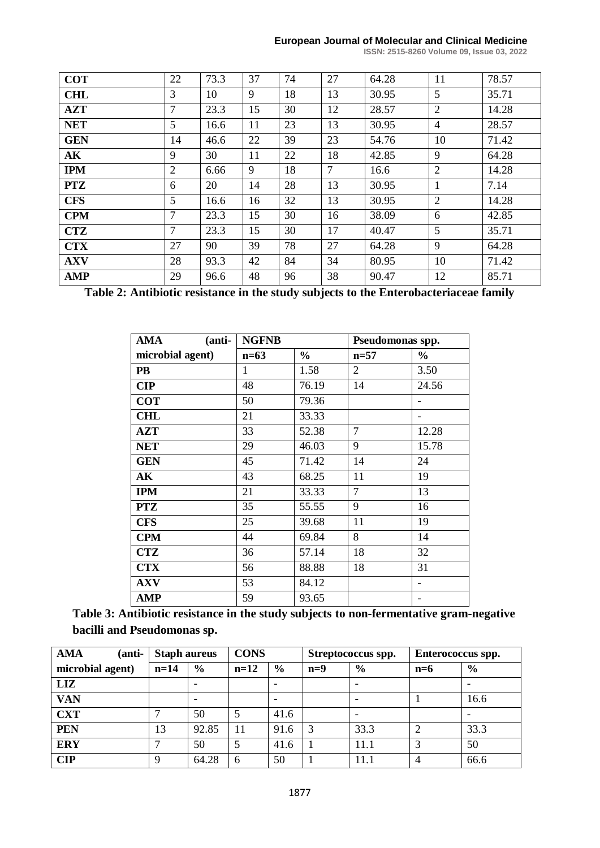#### **European Journal of Molecular and Clinical Medicine**

**ISSN: 2515-8260 Volume 09, Issue 03, 2022**

| <b>COT</b> | 22              | 73.3 | 37 | 74 | 27     | 64.28 | 11             | 78.57 |
|------------|-----------------|------|----|----|--------|-------|----------------|-------|
| <b>CHL</b> | 3               | 10   | 9  | 18 | 13     | 30.95 | 5              | 35.71 |
| <b>AZT</b> | $\tau$          | 23.3 | 15 | 30 | 12     | 28.57 | $\overline{2}$ | 14.28 |
| <b>NET</b> | $5\overline{)}$ | 16.6 | 11 | 23 | 13     | 30.95 | $\overline{4}$ | 28.57 |
| <b>GEN</b> | 14              | 46.6 | 22 | 39 | 23     | 54.76 | 10             | 71.42 |
| AK         | 9               | 30   | 11 | 22 | 18     | 42.85 | 9              | 64.28 |
| <b>IPM</b> | 2               | 6.66 | 9  | 18 | $\tau$ | 16.6  | $\overline{2}$ | 14.28 |
| <b>PTZ</b> | 6               | 20   | 14 | 28 | 13     | 30.95 | $\mathbf{1}$   | 7.14  |
| <b>CFS</b> | 5               | 16.6 | 16 | 32 | 13     | 30.95 | $\overline{2}$ | 14.28 |
| <b>CPM</b> | 7               | 23.3 | 15 | 30 | 16     | 38.09 | 6              | 42.85 |
| <b>CTZ</b> | $\overline{7}$  | 23.3 | 15 | 30 | 17     | 40.47 | $\mathfrak{S}$ | 35.71 |
| <b>CTX</b> | 27              | 90   | 39 | 78 | 27     | 64.28 | 9              | 64.28 |
| <b>AXV</b> | 28              | 93.3 | 42 | 84 | 34     | 80.95 | 10             | 71.42 |
| <b>AMP</b> | 29              | 96.6 | 48 | 96 | 38     | 90.47 | 12             | 85.71 |

**Table 2: Antibiotic resistance in the study subjects to the Enterobacteriaceae family**

| $(anti-)$<br>AMA | <b>NGFNB</b> |               | Pseudomonas spp. |               |
|------------------|--------------|---------------|------------------|---------------|
| microbial agent) | $n=63$       | $\frac{0}{0}$ | $n=57$           | $\frac{6}{6}$ |
| <b>PB</b>        | 1            | 1.58          | $\overline{2}$   | 3.50          |
| CIP              | 48           | 76.19         | 14               | 24.56         |
| <b>COT</b>       | 50           | 79.36         |                  |               |
| <b>CHL</b>       | 21           | 33.33         |                  |               |
| <b>AZT</b>       | 33           | 52.38         | $\overline{7}$   | 12.28         |
| <b>NET</b>       | 29           | 46.03         | 9                | 15.78         |
| <b>GEN</b>       | 45           | 71.42         | 14               | 24            |
| AK               | 43           | 68.25         | 11               | 19            |
| <b>IPM</b>       | 21           | 33.33         | $\overline{7}$   | 13            |
| <b>PTZ</b>       | 35           | 55.55         | 9                | 16            |
| <b>CFS</b>       | 25           | 39.68         | 11               | 19            |
| <b>CPM</b>       | 44           | 69.84         | 8                | 14            |
| <b>CTZ</b>       | 36           | 57.14         | 18               | 32            |
| <b>CTX</b>       | 56           | 88.88         | 18               | 31            |
| <b>AXV</b>       | 53           | 84.12         |                  |               |
| AMP              | 59           | 93.65         |                  |               |

**Table 3: Antibiotic resistance in the study subjects to non-fermentative gram-negative bacilli and Pseudomonas sp.**

| <b>AMA</b><br>(anti- | <b>Staph aureus</b> |               | <b>CONS</b> |                          | Streptococcus spp. |               | Enterococcus spp. |                          |
|----------------------|---------------------|---------------|-------------|--------------------------|--------------------|---------------|-------------------|--------------------------|
| microbial agent)     | $n=14$              | $\frac{6}{9}$ | $n=12$      | $\frac{6}{6}$            | $n=9$              | $\frac{6}{6}$ | $n=6$             | $\frac{6}{6}$            |
| <b>LIZ</b>           |                     |               |             | $\overline{\phantom{a}}$ |                    | -             |                   |                          |
| <b>VAN</b>           |                     |               |             |                          |                    |               |                   | 16.6                     |
| <b>CXT</b>           |                     | 50            |             | 41.6                     |                    |               |                   | $\overline{\phantom{0}}$ |
| <b>PEN</b>           | 13                  | 92.85         | 11          | 91.6                     | 3                  | 33.3          | $\overline{2}$    | 33.3                     |
| <b>ERY</b>           |                     | 50            | 5           | 41.6                     |                    | 11.1          | 3                 | 50                       |
| <b>CIP</b>           | Q                   | 64.28         | 6           | 50                       |                    | 11.1          | $\overline{4}$    | 66.6                     |